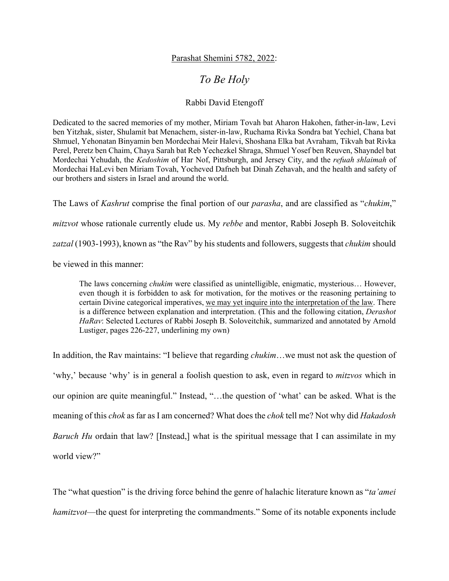## Parashat Shemini 5782, 2022:

## *To Be Holy*

## Rabbi David Etengoff

Dedicated to the sacred memories of my mother, Miriam Tovah bat Aharon Hakohen, father-in-law, Levi ben Yitzhak, sister, Shulamit bat Menachem, sister-in-law, Ruchama Rivka Sondra bat Yechiel, Chana bat Shmuel, Yehonatan Binyamin ben Mordechai Meir Halevi, Shoshana Elka bat Avraham, Tikvah bat Rivka Perel, Peretz ben Chaim, Chaya Sarah bat Reb Yechezkel Shraga, Shmuel Yosef ben Reuven, Shayndel bat Mordechai Yehudah, the *Kedoshim* of Har Nof, Pittsburgh, and Jersey City, and the *refuah shlaimah* of Mordechai HaLevi ben Miriam Tovah, Yocheved Dafneh bat Dinah Zehavah, and the health and safety of our brothers and sisters in Israel and around the world.

The Laws of *Kashrut* comprise the final portion of our *parasha*, and are classified as "*chukim*," *mitzvot* whose rationale currently elude us. My *rebbe* and mentor, Rabbi Joseph B. Soloveitchik *zatzal* (1903-1993), known as "the Rav" by his students and followers, suggests that *chukim* should

be viewed in this manner:

The laws concerning *chukim* were classified as unintelligible, enigmatic, mysterious… However, even though it is forbidden to ask for motivation, for the motives or the reasoning pertaining to certain Divine categorical imperatives, we may yet inquire into the interpretation of the law. There is a difference between explanation and interpretation. (This and the following citation, *Derashot HaRav*: Selected Lectures of Rabbi Joseph B. Soloveitchik, summarized and annotated by Arnold Lustiger, pages 226-227, underlining my own)

In addition, the Rav maintains: "I believe that regarding *chukim*…we must not ask the question of 'why,' because 'why' is in general a foolish question to ask, even in regard to *mitzvos* which in our opinion are quite meaningful." Instead, "…the question of 'what' can be asked. What is the meaning of this *chok* as far as I am concerned? What does the *chok* tell me? Not why did *Hakadosh Baruch Hu* ordain that law? [Instead,] what is the spiritual message that I can assimilate in my world view?"

The "what question" is the driving force behind the genre of halachic literature known as "*ta'amei hamitzvot*—the quest for interpreting the commandments." Some of its notable exponents include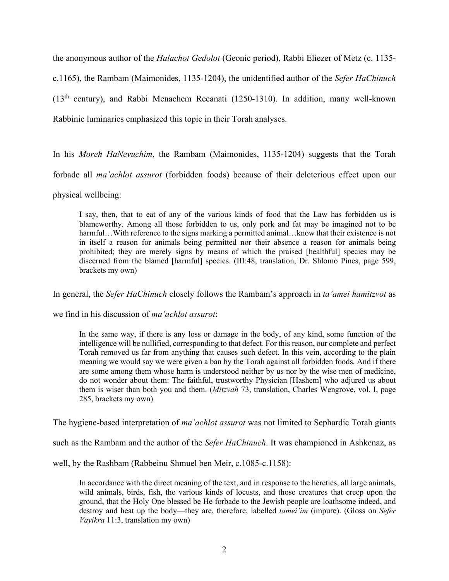the anonymous author of the *Halachot Gedolot* (Geonic period), Rabbi Eliezer of Metz (c. 1135 c.1165), the Rambam (Maimonides, 1135-1204), the unidentified author of the *Sefer HaChinuch*  (13th century), and Rabbi Menachem Recanati (1250-1310). In addition, many well-known Rabbinic luminaries emphasized this topic in their Torah analyses.

In his *Moreh HaNevuchim*, the Rambam (Maimonides, 1135-1204) suggests that the Torah forbade all *ma'achlot assurot* (forbidden foods) because of their deleterious effect upon our physical wellbeing:

I say, then, that to eat of any of the various kinds of food that the Law has forbidden us is blameworthy. Among all those forbidden to us, only pork and fat may be imagined not to be harmful...With reference to the signs marking a permitted animal...know that their existence is not in itself a reason for animals being permitted nor their absence a reason for animals being prohibited; they are merely signs by means of which the praised [healthful] species may be discerned from the blamed [harmful] species. (III:48, translation, Dr. Shlomo Pines, page 599, brackets my own)

In general, the *Sefer HaChinuch* closely follows the Rambam's approach in *ta'amei hamitzvot* as

we find in his discussion of *ma'achlot assurot*:

In the same way, if there is any loss or damage in the body, of any kind, some function of the intelligence will be nullified, corresponding to that defect. For this reason, our complete and perfect Torah removed us far from anything that causes such defect. In this vein, according to the plain meaning we would say we were given a ban by the Torah against all forbidden foods. And if there are some among them whose harm is understood neither by us nor by the wise men of medicine, do not wonder about them: The faithful, trustworthy Physician [Hashem] who adjured us about them is wiser than both you and them. (*Mitzvah* 73, translation, Charles Wengrove, vol. I, page 285, brackets my own)

The hygiene-based interpretation of *ma'achlot assurot* was not limited to Sephardic Torah giants

such as the Rambam and the author of the *Sefer HaChinuch*. It was championed in Ashkenaz, as

well, by the Rashbam (Rabbeinu Shmuel ben Meir, c.1085-c.1158):

In accordance with the direct meaning of the text, and in response to the heretics, all large animals, wild animals, birds, fish, the various kinds of locusts, and those creatures that creep upon the ground, that the Holy One blessed be He forbade to the Jewish people are loathsome indeed, and destroy and heat up the body—they are, therefore, labelled *tamei'im* (impure). (Gloss on *Sefer Vayikra* 11:3, translation my own)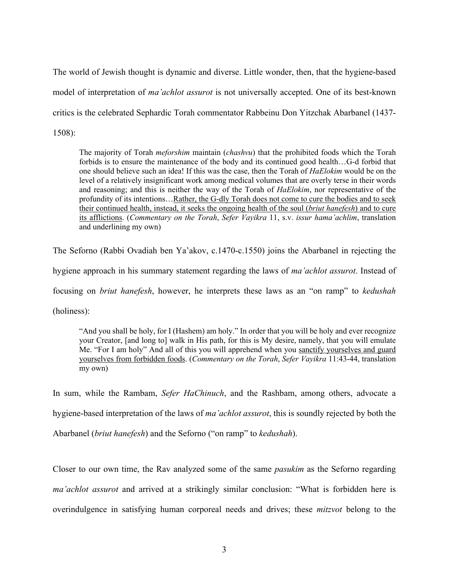The world of Jewish thought is dynamic and diverse. Little wonder, then, that the hygiene-based model of interpretation of *ma'achlot assurot* is not universally accepted. One of its best-known critics is the celebrated Sephardic Torah commentator Rabbeinu Don Yitzchak Abarbanel (1437- 1508):

The majority of Torah *meforshim* maintain (*chashvu*) that the prohibited foods which the Torah forbids is to ensure the maintenance of the body and its continued good health…G-d forbid that one should believe such an idea! If this was the case, then the Torah of *HaElokim* would be on the level of a relatively insignificant work among medical volumes that are overly terse in their words and reasoning; and this is neither the way of the Torah of *HaElokim*, nor representative of the profundity of its intentions…Rather, the G-dly Torah does not come to cure the bodies and to seek their continued health, instead, it seeks the ongoing health of the soul (*briut hanefesh*) and to cure its afflictions. (*Commentary on the Torah*, *Sefer Vayikra* 11, s.v. *issur hama'achlim*, translation and underlining my own)

The Seforno (Rabbi Ovadiah ben Ya'akov, c.1470-c.1550) joins the Abarbanel in rejecting the

hygiene approach in his summary statement regarding the laws of *ma'achlot assurot*. Instead of

focusing on *briut hanefesh*, however, he interprets these laws as an "on ramp" to *kedushah* 

(holiness):

"And you shall be holy, for I (Hashem) am holy." In order that you will be holy and ever recognize your Creator, [and long to] walk in His path, for this is My desire, namely, that you will emulate Me. "For I am holy" And all of this you will apprehend when you sanctify yourselves and guard yourselves from forbidden foods. (*Commentary on the Torah*, *Sefer Vayikra* 11:43-44, translation my own)

In sum, while the Rambam, *Sefer HaChinuch*, and the Rashbam, among others, advocate a hygiene-based interpretation of the laws of *ma'achlot assurot*, this is soundly rejected by both the Abarbanel (*briut hanefesh*) and the Seforno ("on ramp" to *kedushah*).

Closer to our own time, the Rav analyzed some of the same *pasukim* as the Seforno regarding *ma'achlot assurot* and arrived at a strikingly similar conclusion: "What is forbidden here is overindulgence in satisfying human corporeal needs and drives; these *mitzvot* belong to the